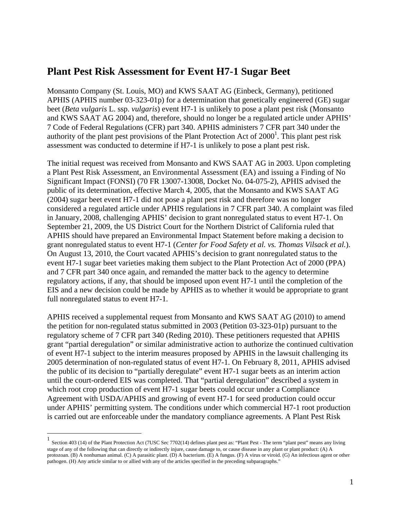# **Plant Pest Risk Assessment for Event H7-1 Sugar Beet**

Monsanto Company (St. Louis, MO) and KWS SAAT AG (Einbeck, Germany), petitioned APHIS (APHIS number 03-323-01p) for a determination that genetically engineered (GE) sugar beet (*Beta vulgaris* L. ssp. *vulgaris*) event H7-1 is unlikely to pose a plant pest risk (Monsanto and KWS SAAT AG 2004) and, therefore, should no longer be a regulated article under APHIS' 7 Code of Federal Regulations (CFR) part 340. APHIS administers 7 CFR part 340 under the authority of the plant pest provisions of the Plant Protection Act of  $2000<sup>1</sup>$ . This plant pest risk assessment was conducted to determine if H7-1 is unlikely to pose a plant pest risk.

The initial request was received from Monsanto and KWS SAAT AG in 2003. Upon completing a Plant Pest Risk Assessment, an Environmental Assessment (EA) and issuing a Finding of No Significant Impact (FONSI) (70 FR 13007-13008, Docket No. 04-075-2), APHIS advised the public of its determination, effective March 4, 2005, that the Monsanto and KWS SAAT AG (2004) sugar beet event H7-1 did not pose a plant pest risk and therefore was no longer considered a regulated article under APHIS regulations in 7 CFR part 340. A complaint was filed in January, 2008, challenging APHIS' decision to grant nonregulated status to event H7-1. On September 21, 2009, the US District Court for the Northern District of California ruled that APHIS should have prepared an Environmental Impact Statement before making a decision to grant nonregulated status to event H7-1 (*Center for Food Safety et al. vs. Thomas Vilsack et al.*). On August 13, 2010, the Court vacated APHIS's decision to grant nonregulated status to the event H7-1 sugar beet varieties making them subject to the Plant Protection Act of 2000 (PPA) and 7 CFR part 340 once again, and remanded the matter back to the agency to determine regulatory actions, if any, that should be imposed upon event H7-1 until the completion of the EIS and a new decision could be made by APHIS as to whether it would be appropriate to grant full nonregulated status to event H7-1.

APHIS received a supplemental request from Monsanto and KWS SAAT AG (2010) to amend the petition for non-regulated status submitted in 2003 (Petition 03-323-01p) pursuant to the regulatory scheme of 7 CFR part 340 (Reding 2010). These petitioners requested that APHIS grant "partial deregulation" or similar administrative action to authorize the continued cultivation of event H7-1 subject to the interim measures proposed by APHIS in the lawsuit challenging its 2005 determination of non-regulated status of event H7-1. On February 8, 2011, APHIS advised the public of its decision to "partially deregulate" event H7-1 sugar beets as an interim action until the court-ordered EIS was completed. That "partial deregulation" described a system in which root crop production of event H7-1 sugar beets could occur under a Compliance Agreement with USDA/APHIS and growing of event H7-1 for seed production could occur under APHIS' permitting system. The conditions under which commercial H7-1 root production is carried out are enforceable under the mandatory compliance agreements. A Plant Pest Risk

<sup>1&</sup>lt;br><sup>1</sup> Section 403 (14) of the Plant Protection Act (7USC Sec 7702(14) defines plant pest as: "Plant Pest - The term "plant pest" means any living stage of any of the following that can directly or indirectly injure, cause damage to, or cause disease in any plant or plant product: (A) A protozoan. (B) A nonhuman animal. (C) A parasitic plant. (D) A bacterium. (E) A fungus. (F) A virus or viroid. (G) An infectious agent or other pathogen. (H) Any article similar to or allied with any of the articles specified in the preceding subparagraphs."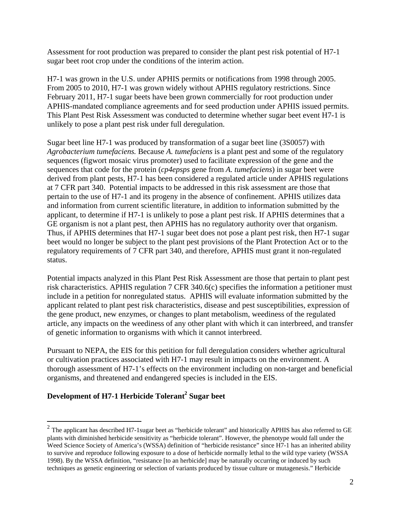Assessment for root production was prepared to consider the plant pest risk potential of H7-1 sugar beet root crop under the conditions of the interim action.

H7-1 was grown in the U.S. under APHIS permits or notifications from 1998 through 2005. From 2005 to 2010, H7-1 was grown widely without APHIS regulatory restrictions. Since February 2011, H7-1 sugar beets have been grown commercially for root production under APHIS-mandated compliance agreements and for seed production under APHIS issued permits. This Plant Pest Risk Assessment was conducted to determine whether sugar beet event H7-1 is unlikely to pose a plant pest risk under full deregulation.

Sugar beet line H7-1 was produced by transformation of a sugar beet line (3S0057) with *Agrobacterium tumefaciens.* Because *A. tumefaciens* is a plant pest and some of the regulatory sequences (figwort mosaic virus promoter) used to facilitate expression of the gene and the sequences that code for the protein (*cp4epsps* gene from *A. tumefaciens*) in sugar beet were derived from plant pests, H7-1 has been considered a regulated article under APHIS regulations at 7 CFR part 340. Potential impacts to be addressed in this risk assessment are those that pertain to the use of H7-1 and its progeny in the absence of confinement. APHIS utilizes data and information from current scientific literature, in addition to information submitted by the applicant, to determine if H7-1 is unlikely to pose a plant pest risk. If APHIS determines that a GE organism is not a plant pest, then APHIS has no regulatory authority over that organism. Thus, if APHIS determines that H7-1 sugar beet does not pose a plant pest risk, then H7-1 sugar beet would no longer be subject to the plant pest provisions of the Plant Protection Act or to the regulatory requirements of 7 CFR part 340, and therefore, APHIS must grant it non-regulated status.

Potential impacts analyzed in this Plant Pest Risk Assessment are those that pertain to plant pest risk characteristics. APHIS regulation 7 CFR 340.6(c) specifies the information a petitioner must include in a petition for nonregulated status. APHIS will evaluate information submitted by the applicant related to plant pest risk characteristics, disease and pest susceptibilities, expression of the gene product, new enzymes, or changes to plant metabolism, weediness of the regulated article, any impacts on the weediness of any other plant with which it can interbreed, and transfer of genetic information to organisms with which it cannot interbreed.

Pursuant to NEPA, the EIS for this petition for full deregulation considers whether agricultural or cultivation practices associated with H7-1 may result in impacts on the environment. A thorough assessment of H7-1's effects on the environment including on non-target and beneficial organisms, and threatened and endangered species is included in the EIS.

## Development of H7-1 Herbicide Tolerant<sup>2</sup> Sugar beet

 $\overline{a}$ 

 $^2$  The applicant has described H7-1sugar beet as "herbicide tolerant" and historically APHIS has also referred to GE plants with diminished herbicide sensitivity as "herbicide tolerant". However, the phenotype would fall under the Weed Science Society of America's (WSSA) definition of "herbicide resistance" since H7-1 has an inherited ability to survive and reproduce following exposure to a dose of herbicide normally lethal to the wild type variety (WSSA 1998). By the WSSA definition, "resistance [to an herbicide] may be naturally occurring or induced by such techniques as genetic engineering or selection of variants produced by tissue culture or mutagenesis." Herbicide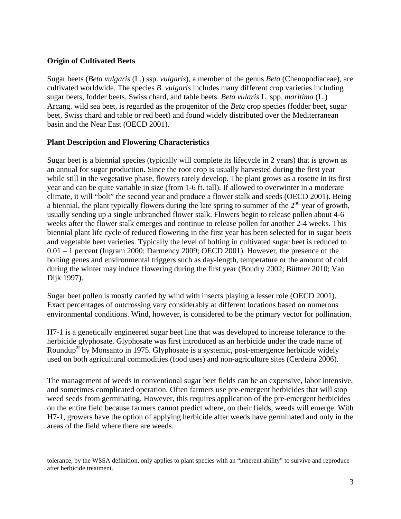## **Origin of Cultivated Beets**

Sugar beets (*Beta vulgaris* (L.) ssp. *vulgaris*), a member of the genus *Beta* (Chenopodiaceae), are cultivated worldwide. The species *B. vulgaris* includes many different crop varieties including sugar beets, fodder beets, Swiss chard, and table beets. *Beta vularis* L. spp. *maritima* (L.) Arcang. wild sea beet, is regarded as the progenitor of the *Beta* crop species (fodder beet, sugar beet, Swiss chard and table or red beet) and found widely distributed over the Mediterranean basin and the Near East (OECD 2001).

#### **Plant Description and Flowering Characteristics**

Sugar beet is a biennial species (typically will complete its lifecycle in 2 years) that is grown as an annual for sugar production. Since the root crop is usually harvested during the first year while still in the vegetative phase, flowers rarely develop. The plant grows as a rosette in its first year and can be quite variable in size (from 1-6 ft. tall). If allowed to overwinter in a moderate climate, it will "bolt" the second year and produce a flower stalk and seeds (OECD 2001). Being a biennial, the plant typically flowers during the late spring to summer of the  $2<sup>nd</sup>$  year of growth, usually sending up a single unbranched flower stalk. Flowers begin to release pollen about 4-6 weeks after the flower stalk emerges and continue to release pollen for another 2-4 weeks. This biennial plant life cycle of reduced flowering in the first year has been selected for in sugar beets and vegetable beet varieties. Typically the level of bolting in cultivated sugar beet is reduced to 0.01 – 1 percent (Ingram 2000; Darmency 2009; OECD 2001). However, the presence of the bolting genes and environmental triggers such as day-length, temperature or the amount of cold during the winter may induce flowering during the first year (Boudry 2002; Büttner 2010; Van Dijk 1997).

Sugar beet pollen is mostly carried by wind with insects playing a lesser role (OECD 2001). Exact percentages of outcrossing vary considerably at different locations based on numerous environmental conditions. Wind, however, is considered to be the primary vector for pollination.

H7-1 is a genetically engineered sugar beet line that was developed to increase tolerance to the herbicide glyphosate. Glyphosate was first introduced as an herbicide under the trade name of Roundup® by Monsanto in 1975. Glyphosate is a systemic, post-emergence herbicide widely used on both agricultural commodities (food uses) and non-agriculture sites (Cerdeira 2006).

The management of weeds in conventional sugar beet fields can be an expensive, labor intensive, and sometimes complicated operation. Often farmers use pre-emergent herbicides that will stop weed seeds from germinating. However, this requires application of the pre-emergent herbicides on the entire field because farmers cannot predict where, on their fields, weeds will emerge. With H7-1, growers have the option of applying herbicide after weeds have germinated and only in the areas of the field where there are weeds.

tolerance, by the WSSA definition, only applies to plant species with an "inherent ability" to survive and reproduce after herbicide treatment.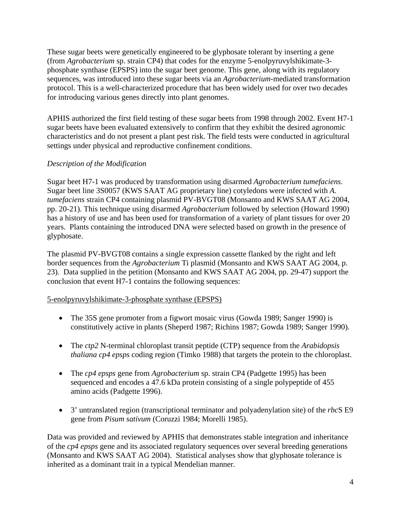These sugar beets were genetically engineered to be glyphosate tolerant by inserting a gene (from *Agrobacterium* sp. strain CP4) that codes for the enzyme 5-enolpyruvylshikimate-3 phosphate synthase (EPSPS) into the sugar beet genome. This gene, along with its regulatory sequences, was introduced into these sugar beets via an *Agrobacterium*-mediated transformation protocol. This is a well-characterized procedure that has been widely used for over two decades for introducing various genes directly into plant genomes.

APHIS authorized the first field testing of these sugar beets from 1998 through 2002. Event H7-1 sugar beets have been evaluated extensively to confirm that they exhibit the desired agronomic characteristics and do not present a plant pest risk. The field tests were conducted in agricultural settings under physical and reproductive confinement conditions.

## *Description of the Modification*

Sugar beet H7-1 was produced by transformation using disarmed *Agrobacterium tumefaciens.* Sugar beet line 3S0057 (KWS SAAT AG proprietary line) cotyledons were infected with *A. tumefaciens* strain CP4 containing plasmid PV-BVGT08 (Monsanto and KWS SAAT AG 2004, pp. 20-21). This technique using disarmed *Agrobacterium* followed by selection (Howard 1990) has a history of use and has been used for transformation of a variety of plant tissues for over 20 years. Plants containing the introduced DNA were selected based on growth in the presence of glyphosate.

The plasmid PV-BVGT08 contains a single expression cassette flanked by the right and left border sequences from the *Agrobacterium* Ti plasmid (Monsanto and KWS SAAT AG 2004, p. 23). Data supplied in the petition (Monsanto and KWS SAAT AG 2004, pp. 29-47) support the conclusion that event H7-1 contains the following sequences:

## 5-enolpyruvylshikimate-3-phosphate synthase (EPSPS)

- The 35S gene promoter from a figwort mosaic virus (Gowda 1989; Sanger 1990) is constitutively active in plants (Sheperd 1987; Richins 1987; Gowda 1989; Sanger 1990).
- The *ctp2* N-terminal chloroplast transit peptide (CTP) sequence from the *Arabidopsis thaliana cp4 epsps* coding region (Timko 1988) that targets the protein to the chloroplast.
- The *cp4 epsps* gene from *Agrobacterium* sp. strain CP4 (Padgette 1995) has been sequenced and encodes a 47.6 kDa protein consisting of a single polypeptide of 455 amino acids (Padgette 1996).
- 3' untranslated region (transcriptional terminator and polyadenylation site) of the *rbc*S E9 gene from *Pisum sativum* (Coruzzi 1984; Morelli 1985).

Data was provided and reviewed by APHIS that demonstrates stable integration and inheritance of the *cp4 epsps* gene and its associated regulatory sequences over several breeding generations (Monsanto and KWS SAAT AG 2004). Statistical analyses show that glyphosate tolerance is inherited as a dominant trait in a typical Mendelian manner.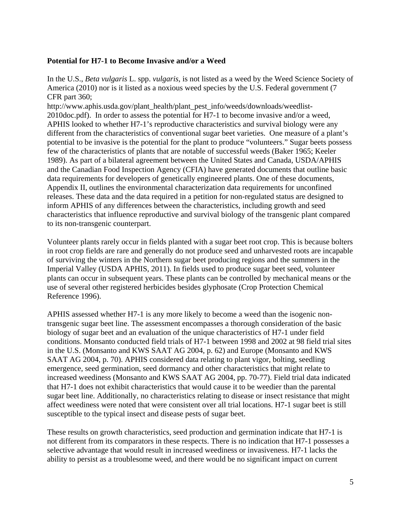#### **Potential for H7-1 to Become Invasive and/or a Weed**

In the U.S., *Beta vulgaris* L. spp. *vulgaris*, is not listed as a weed by the Weed Science Society of America (2010) nor is it listed as a noxious weed species by the U.S. Federal government (7 CFR part 360;

http://www.aphis.usda.gov/plant\_health/plant\_pest\_info/weeds/downloads/weedlist-2010doc.pdf). In order to assess the potential for H7-1 to become invasive and/or a weed, APHIS looked to whether H7-1's reproductive characteristics and survival biology were any different from the characteristics of conventional sugar beet varieties. One measure of a plant's potential to be invasive is the potential for the plant to produce "volunteers." Sugar beets possess few of the characteristics of plants that are notable of successful weeds (Baker 1965; Keeler 1989). As part of a bilateral agreement between the United States and Canada, USDA/APHIS and the Canadian Food Inspection Agency (CFIA) have generated documents that outline basic data requirements for developers of genetically engineered plants. One of these documents, Appendix II, outlines the environmental characterization data requirements for unconfined releases. These data and the data required in a petition for non-regulated status are designed to inform APHIS of any differences between the characteristics, including growth and seed characteristics that influence reproductive and survival biology of the transgenic plant compared to its non-transgenic counterpart.

Volunteer plants rarely occur in fields planted with a sugar beet root crop. This is because bolters in root crop fields are rare and generally do not produce seed and unharvested roots are incapable of surviving the winters in the Northern sugar beet producing regions and the summers in the Imperial Valley (USDA APHIS, 2011). In fields used to produce sugar beet seed, volunteer plants can occur in subsequent years. These plants can be controlled by mechanical means or the use of several other registered herbicides besides glyphosate (Crop Protection Chemical Reference 1996).

APHIS assessed whether H7-1 is any more likely to become a weed than the isogenic nontransgenic sugar beet line. The assessment encompasses a thorough consideration of the basic biology of sugar beet and an evaluation of the unique characteristics of H7-1 under field conditions. Monsanto conducted field trials of H7-1 between 1998 and 2002 at 98 field trial sites in the U.S. (Monsanto and KWS SAAT AG 2004, p. 62) and Europe (Monsanto and KWS SAAT AG 2004, p. 70). APHIS considered data relating to plant vigor, bolting, seedling emergence, seed germination, seed dormancy and other characteristics that might relate to increased weediness (Monsanto and KWS SAAT AG 2004, pp. 70-77). Field trial data indicated that H7-1 does not exhibit characteristics that would cause it to be weedier than the parental sugar beet line. Additionally, no characteristics relating to disease or insect resistance that might affect weediness were noted that were consistent over all trial locations. H7-1 sugar beet is still susceptible to the typical insect and disease pests of sugar beet.

These results on growth characteristics, seed production and germination indicate that H7-1 is not different from its comparators in these respects. There is no indication that H7-1 possesses a selective advantage that would result in increased weediness or invasiveness. H7-1 lacks the ability to persist as a troublesome weed, and there would be no significant impact on current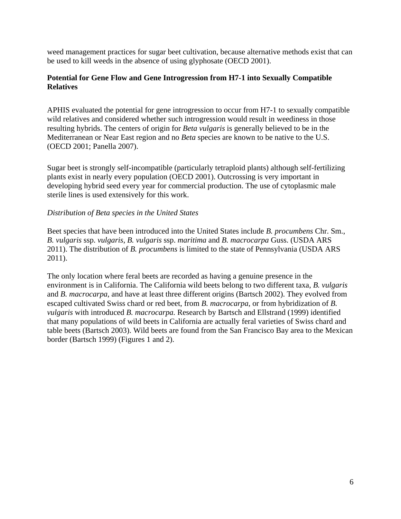weed management practices for sugar beet cultivation, because alternative methods exist that can be used to kill weeds in the absence of using glyphosate (OECD 2001).

## **Potential for Gene Flow and Gene Introgression from H7-1 into Sexually Compatible Relatives**

APHIS evaluated the potential for gene introgression to occur from H7-1 to sexually compatible wild relatives and considered whether such introgression would result in weediness in those resulting hybrids. The centers of origin for *Beta vulgaris* is generally believed to be in the Mediterranean or Near East region and no *Beta* species are known to be native to the U.S. (OECD 2001; Panella 2007).

Sugar beet is strongly self-incompatible (particularly tetraploid plants) although self-fertilizing plants exist in nearly every population (OECD 2001). Outcrossing is very important in developing hybrid seed every year for commercial production. The use of cytoplasmic male sterile lines is used extensively for this work.

## *Distribution of Beta species in the United States*

Beet species that have been introduced into the United States include *B. procumbens* Chr. Sm., *B. vulgaris* ssp. *vulgaris*, *B. vulgaris* ssp. *maritima* and *B. macrocarpa* Guss. (USDA ARS 2011). The distribution of *B. procumbens* is limited to the state of Pennsylvania (USDA ARS 2011).

The only location where feral beets are recorded as having a genuine presence in the environment is in California. The California wild beets belong to two different taxa, *B. vulgaris* and *B. macrocarpa*, and have at least three different origins (Bartsch 2002). They evolved from escaped cultivated Swiss chard or red beet, from *B. macrocarpa*, or from hybridization of *B. vulgaris* with introduced *B. macrocarpa.* Research by Bartsch and Ellstrand (1999) identified that many populations of wild beets in California are actually feral varieties of Swiss chard and table beets (Bartsch 2003). Wild beets are found from the San Francisco Bay area to the Mexican border (Bartsch 1999) (Figures 1 and 2).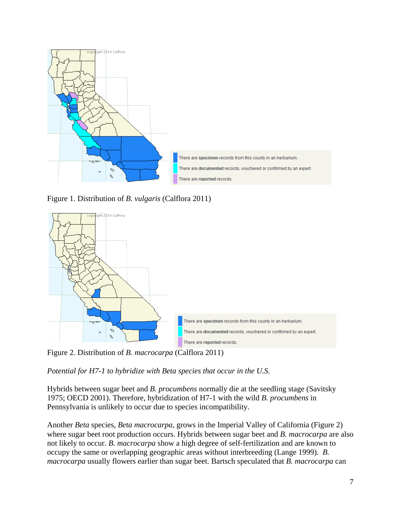

Figure 1. Distribution of *B. vulgaris* (Calflora 2011)



*Potential for H7-1 to hybridize with Beta species that occur in the U.S.* 

Hybrids between sugar beet and *B. procumbens* normally die at the seedling stage (Savitsky 1975; OECD 2001). Therefore, hybridization of H7-1 with the wild *B. procumbens* in Pennsylvania is unlikely to occur due to species incompatibility.

Another *Beta* species, *Beta macrocarpa,* grows in the Imperial Valley of California (Figure 2) where sugar beet root production occurs. Hybrids between sugar beet and *B. macrocarpa* are also not likely to occur. *B. macrocarpa* show a high degree of self-fertilization and are known to occupy the same or overlapping geographic areas without interbreeding (Lange 1999). *B. macrocarpa* usually flowers earlier than sugar beet. Bartsch speculated that *B. macrocarpa* can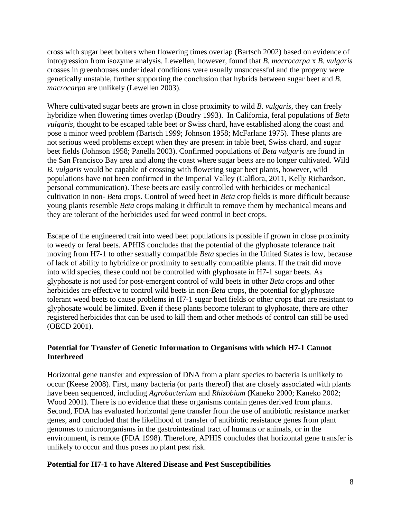cross with sugar beet bolters when flowering times overlap (Bartsch 2002) based on evidence of introgression from isozyme analysis. Lewellen, however, found that *B. macrocarpa* x *B. vulgaris* crosses in greenhouses under ideal conditions were usually unsuccessful and the progeny were genetically unstable, further supporting the conclusion that hybrids between sugar beet and *B. macrocarpa* are unlikely (Lewellen 2003).

Where cultivated sugar beets are grown in close proximity to wild *B. vulgaris*, they can freely hybridize when flowering times overlap (Boudry 1993). In California, feral populations of *Beta vulgaris,* thought to be escaped table beet or Swiss chard, have established along the coast and pose a minor weed problem (Bartsch 1999; Johnson 1958; McFarlane 1975). These plants are not serious weed problems except when they are present in table beet, Swiss chard, and sugar beet fields (Johnson 1958; Panella 2003). Confirmed populations of *Beta vulgaris* are found in the San Francisco Bay area and along the coast where sugar beets are no longer cultivated. Wild *B. vulgaris* would be capable of crossing with flowering sugar beet plants, however, wild populations have not been confirmed in the Imperial Valley (Calflora, 2011, Kelly Richardson, personal communication). These beets are easily controlled with herbicides or mechanical cultivation in non- *Beta* crops. Control of weed beet in *Beta* crop fields is more difficult because young plants resemble *Beta* crops making it difficult to remove them by mechanical means and they are tolerant of the herbicides used for weed control in beet crops.

Escape of the engineered trait into weed beet populations is possible if grown in close proximity to weedy or feral beets. APHIS concludes that the potential of the glyphosate tolerance trait moving from H7-1 to other sexually compatible *Beta* species in the United States is low, because of lack of ability to hybridize or proximity to sexually compatible plants. If the trait did move into wild species, these could not be controlled with glyphosate in H7-1 sugar beets. As glyphosate is not used for post-emergent control of wild beets in other *Beta* crops and other herbicides are effective to control wild beets in non*-Beta* crops, the potential for glyphosate tolerant weed beets to cause problems in H7-1 sugar beet fields or other crops that are resistant to glyphosate would be limited. Even if these plants become tolerant to glyphosate, there are other registered herbicides that can be used to kill them and other methods of control can still be used (OECD 2001).

## **Potential for Transfer of Genetic Information to Organisms with which H7-1 Cannot Interbreed**

Horizontal gene transfer and expression of DNA from a plant species to bacteria is unlikely to occur (Keese 2008). First, many bacteria (or parts thereof) that are closely associated with plants have been sequenced, including *Agrobacterium* and *Rhizobium* (Kaneko 2000; Kaneko 2002; Wood 2001). There is no evidence that these organisms contain genes derived from plants. Second, FDA has evaluated horizontal gene transfer from the use of antibiotic resistance marker genes, and concluded that the likelihood of transfer of antibiotic resistance genes from plant genomes to microorganisms in the gastrointestinal tract of humans or animals, or in the environment, is remote (FDA 1998). Therefore, APHIS concludes that horizontal gene transfer is unlikely to occur and thus poses no plant pest risk.

## **Potential for H7-1 to have Altered Disease and Pest Susceptibilities**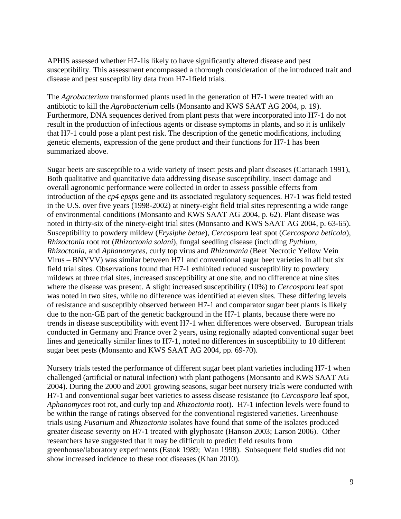APHIS assessed whether H7-1is likely to have significantly altered disease and pest susceptibility. This assessment encompassed a thorough consideration of the introduced trait and disease and pest susceptibility data from H7-1field trials.

The *Agrobacterium* transformed plants used in the generation of H7-1 were treated with an antibiotic to kill the *Agrobacterium* cells (Monsanto and KWS SAAT AG 2004, p. 19). Furthermore, DNA sequences derived from plant pests that were incorporated into H7-1 do not result in the production of infectious agents or disease symptoms in plants, and so it is unlikely that H7-1 could pose a plant pest risk. The description of the genetic modifications, including genetic elements, expression of the gene product and their functions for H7-1 has been summarized above.

Sugar beets are susceptible to a wide variety of insect pests and plant diseases (Cattanach 1991), Both qualitative and quantitative data addressing disease susceptibility, insect damage and overall agronomic performance were collected in order to assess possible effects from introduction of the *cp4 epsps* gene and its associated regulatory sequences. H7-1 was field tested in the U.S. over five years (1998-2002) at ninety-eight field trial sites representing a wide range of environmental conditions (Monsanto and KWS SAAT AG 2004, p. 62). Plant disease was noted in thirty-six of the ninety-eight trial sites (Monsanto and KWS SAAT AG 2004, p. 63-65). Susceptibility to powdery mildew (*Erysiphe betae*), *Cercospora* leaf spot (*Cercospora beticola*), *Rhizoctonia* root rot (*Rhizoctonia solani*), fungal seedling disease (including *Pythium, Rhizoctonia,* and *Aphanomyces*, curly top virus and *Rhizomania* (Beet Necrotic Yellow Vein Virus – BNYVV) was similar between H71 and conventional sugar beet varieties in all but six field trial sites. Observations found that H7-1 exhibited reduced susceptibility to powdery mildews at three trial sites, increased susceptibility at one site, and no difference at nine sites where the disease was present. A slight increased susceptibility (10%) to *Cercospora* leaf spot was noted in two sites, while no difference was identified at eleven sites. These differing levels of resistance and susceptibly observed between H7-1 and comparator sugar beet plants is likely due to the non-GE part of the genetic background in the H7-1 plants, because there were no trends in disease susceptibility with event H7-1 when differences were observed. European trials conducted in Germany and France over 2 years, using regionally adapted conventional sugar beet lines and genetically similar lines to H7-1, noted no differences in susceptibility to 10 different sugar beet pests (Monsanto and KWS SAAT AG 2004, pp. 69-70).

Nursery trials tested the performance of different sugar beet plant varieties including H7-1 when challenged (artificial or natural infection) with plant pathogens (Monsanto and KWS SAAT AG 2004). During the 2000 and 2001 growing seasons, sugar beet nursery trials were conducted with H7-1 and conventional sugar beet varieties to assess disease resistance (to *Cercospora* leaf spot, *Aphanomyces* root rot, and curly top and *Rhizoctonia* root). H7-1 infection levels were found to be within the range of ratings observed for the conventional registered varieties. Greenhouse trials using *Fusarium* and *Rhizoctonia* isolates have found that some of the isolates produced greater disease severity on H7-1 treated with glyphosate (Hanson 2003; Larson 2006). Other researchers have suggested that it may be difficult to predict field results from greenhouse/laboratory experiments (Estok 1989; Wan 1998). Subsequent field studies did not show increased incidence to these root diseases (Khan 2010).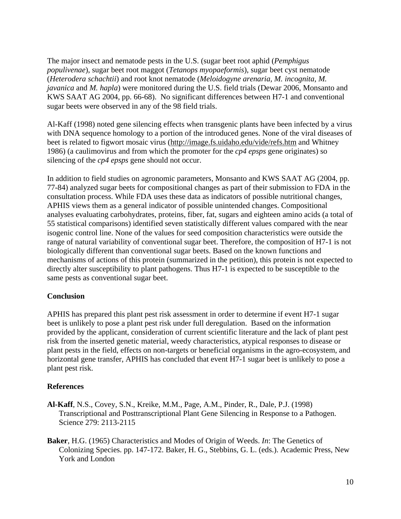The major insect and nematode pests in the U.S. (sugar beet root aphid (*Pemphigus populivenae*), sugar beet root maggot (*Tetanops myopaeformis*), sugar beet cyst nematode (*Heterodera schachtii*) and root knot nematode (*Meloidogyne arenaria, M. incognita, M. javanica* and *M. hapla*) were monitored during the U.S. field trials (Dewar 2006, Monsanto and KWS SAAT AG 2004, pp. 66-68). No significant differences between H7-1 and conventional sugar beets were observed in any of the 98 field trials.

Al-Kaff (1998) noted gene silencing effects when transgenic plants have been infected by a virus with DNA sequence homology to a portion of the introduced genes. None of the viral diseases of beet is related to figwort mosaic virus (http://image.fs.uidaho.edu/vide/refs.htm and Whitney 1986) (a caulimovirus and from which the promoter for the *cp4 epsps* gene originates) so silencing of the *cp4 epsps* gene should not occur.

In addition to field studies on agronomic parameters, Monsanto and KWS SAAT AG (2004, pp. 77-84) analyzed sugar beets for compositional changes as part of their submission to FDA in the consultation process. While FDA uses these data as indicators of possible nutritional changes, APHIS views them as a general indicator of possible unintended changes. Compositional analyses evaluating carbohydrates, proteins, fiber, fat, sugars and eighteen amino acids (a total of 55 statistical comparisons) identified seven statistically different values compared with the near isogenic control line. None of the values for seed composition characteristics were outside the range of natural variability of conventional sugar beet. Therefore, the composition of H7-1 is not biologically different than conventional sugar beets. Based on the known functions and mechanisms of actions of this protein (summarized in the petition), this protein is not expected to directly alter susceptibility to plant pathogens. Thus H7-1 is expected to be susceptible to the same pests as conventional sugar beet.

#### **Conclusion**

APHIS has prepared this plant pest risk assessment in order to determine if event H7-1 sugar beet is unlikely to pose a plant pest risk under full deregulation. Based on the information provided by the applicant, consideration of current scientific literature and the lack of plant pest risk from the inserted genetic material, weedy characteristics, atypical responses to disease or plant pests in the field, effects on non-targets or beneficial organisms in the agro-ecosystem, and horizontal gene transfer, APHIS has concluded that event H7-1 sugar beet is unlikely to pose a plant pest risk.

#### **References**

- **Al-Kaff**, N.S., Covey, S.N., Kreike, M.M., Page, A.M., Pinder, R., Dale, P.J. (1998) Transcriptional and Posttranscriptional Plant Gene Silencing in Response to a Pathogen. Science 279: 2113-2115
- **Baker**, H.G. (1965) Characteristics and Modes of Origin of Weeds. *In*: The Genetics of Colonizing Species. pp. 147-172. Baker, H. G., Stebbins, G. L. (eds.). Academic Press, New York and London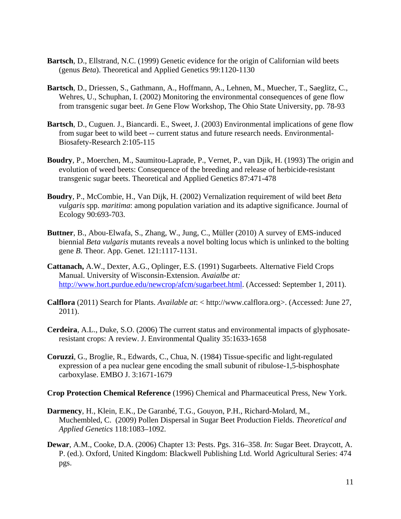- **Bartsch**, D., Ellstrand, N.C. (1999) Genetic evidence for the origin of Californian wild beets (genus *Beta*). Theoretical and Applied Genetics 99:1120-1130
- **Bartsch**, D., Driessen, S., Gathmann, A., Hoffmann, A., Lehnen, M., Muecher, T., Saeglitz, C., Wehres, U., Schuphan, I. (2002) Monitoring the environmental consequences of gene flow from transgenic sugar beet. *In* Gene Flow Workshop, The Ohio State University, pp. 78-93
- **Bartsch**, D., Cuguen. J., Biancardi. E., Sweet, J. (2003) Environmental implications of gene flow from sugar beet to wild beet -- current status and future research needs. Environmental-Biosafety-Research 2:105-115
- **Boudry**, P., Moerchen, M., Saumitou-Laprade, P., Vernet, P., van Djik, H. (1993) The origin and evolution of weed beets: Consequence of the breeding and release of herbicide-resistant transgenic sugar beets. Theoretical and Applied Genetics 87:471-478
- **Boudry**, P., McCombie, H., Van Dijk, H. (2002) Vernalization requirement of wild beet *Beta vulgaris* spp. *maritima*: among population variation and its adaptive significance. Journal of Ecology 90:693-703.
- **Buttner**, B., Abou-Elwafa, S., Zhang, W., Jung, C., Müller (2010) A survey of EMS-induced biennial *Beta vulgaris* mutants reveals a novel bolting locus which is unlinked to the bolting gene *B*. Theor. App. Genet. 121:1117-1131.
- **Cattanach,** A.W., Dexter, A.G., Oplinger, E.S. (1991) Sugarbeets. Alternative Field Crops Manual. University of Wisconsin-Extension. *Avaialbe at:* http://www.hort.purdue.edu/newcrop/afcm/sugarbeet.html. (Accessed: September 1, 2011).
- **Calflora** (2011) Search for Plants. *Available at*: < http://www.calflora.org>. (Accessed: June 27, 2011).
- **Cerdeira**, A.L., Duke, S.O. (2006) The current status and environmental impacts of glyphosateresistant crops: A review. J. Environmental Quality 35:1633-1658
- **Coruzzi**, G., Broglie, R., Edwards, C., Chua, N. (1984) Tissue-specific and light-regulated expression of a pea nuclear gene encoding the small subunit of ribulose-1,5-bisphosphate carboxylase. EMBO J. 3:1671-1679
- **Crop Protection Chemical Reference** (1996) Chemical and Pharmaceutical Press, New York.
- **Darmency**, H., Klein, E.K., De Garanbé, T.G., Gouyon, P.H., Richard-Molard, M., Muchembled, C. (2009) Pollen Dispersal in Sugar Beet Production Fields. *Theoretical and Applied Genetics* 118:1083–1092.
- **Dewar**, A.M., Cooke, D.A. (2006) Chapter 13: Pests. Pgs. 316–358. *In*: Sugar Beet. Draycott, A. P. (ed.). Oxford, United Kingdom: Blackwell Publishing Ltd. World Agricultural Series: 474 pgs.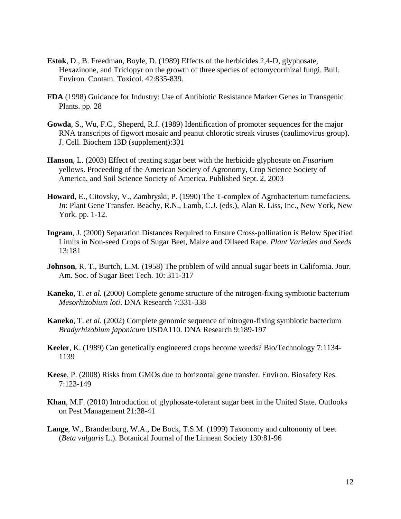- **Estok**, D., B. Freedman, Boyle, D. (1989) Effects of the herbicides 2,4-D, glyphosate, Hexazinone, and Triclopyr on the growth of three species of ectomycorrhizal fungi. Bull. Environ. Contam. Toxicol. 42:835-839.
- **FDA** (1998) Guidance for Industry: Use of Antibiotic Resistance Marker Genes in Transgenic Plants. pp. 28
- **Gowda**, S., Wu, F.C., Sheperd, R.J. (1989) Identification of promoter sequences for the major RNA transcripts of figwort mosaic and peanut chlorotic streak viruses (caulimovirus group). J. Cell. Biochem 13D (supplement):301
- **Hanson**, L. (2003) Effect of treating sugar beet with the herbicide glyphosate on *Fusarium* yellows. Proceeding of the American Society of Agronomy, Crop Science Society of America, and Soil Science Society of America. Published Sept. 2, 2003
- **Howard**, E., Citovsky, V., Zambryski, P. (1990) The T-complex of Agrobacterium tumefaciens. *In*: Plant Gene Transfer. Beachy, R.N., Lamb, C.J. (eds.), Alan R. Liss, Inc., New York, New York. pp. 1-12.
- **Ingram**, J. (2000) Separation Distances Required to Ensure Cross-pollination is Below Specified Limits in Non-seed Crops of Sugar Beet, Maize and Oilseed Rape. *Plant Varieties and Seeds* 13:181
- **Johnson**, R. T., Burtch, L.M. (1958) The problem of wild annual sugar beets in California. Jour. Am. Soc. of Sugar Beet Tech. 10: 311-317
- **Kaneko**, T. *et al.* (2000) Complete genome structure of the nitrogen-fixing symbiotic bacterium *Mesorhizobium loti*. DNA Research 7:331-338
- **Kaneko**, T. *et al.* (2002) Complete genomic sequence of nitrogen-fixing symbiotic bacterium *Bradyrhizobium japonicum* USDA110. DNA Research 9:189-197
- **Keeler**, K. (1989) Can genetically engineered crops become weeds? Bio/Technology 7:1134- 1139
- **Keese**, P. (2008) Risks from GMOs due to horizontal gene transfer. Environ. Biosafety Res. 7:123-149
- **Khan**, M.F. (2010) Introduction of glyphosate-tolerant sugar beet in the United State. Outlooks on Pest Management 21:38-41
- **Lange**, W., Brandenburg, W.A., De Bock, T.S.M. (1999) Taxonomy and cultonomy of beet (*Beta vulgaris* L.). Botanical Journal of the Linnean Society 130:81-96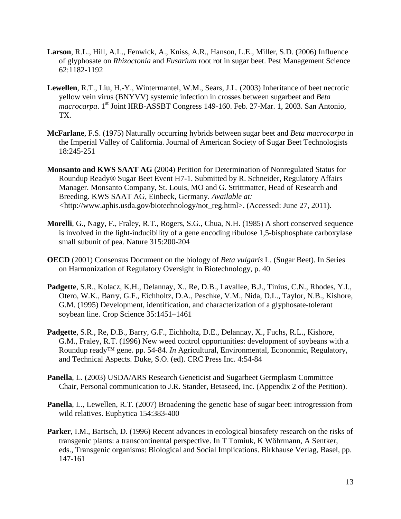- **Larson**, R.L., Hill, A.L., Fenwick, A., Kniss, A.R., Hanson, L.E., Miller, S.D. (2006) Influence of glyphosate on *Rhizoctonia* and *Fusarium* root rot in sugar beet. Pest Management Science 62:1182-1192
- **Lewellen**, R.T., Liu, H.-Y., Wintermantel, W.M., Sears, J.L. (2003) Inheritance of beet necrotic yellow vein virus (BNYVV) systemic infection in crosses between sugarbeet and *Beta macrocarpa*. 1st Joint IIRB-ASSBT Congress 149-160. Feb. 27-Mar. 1, 2003. San Antonio, TX.
- **McFarlane**, F.S. (1975) Naturally occurring hybrids between sugar beet and *Beta macrocarpa* in the Imperial Valley of California. Journal of American Society of Sugar Beet Technologists 18:245-251
- **Monsanto and KWS SAAT AG** (2004) Petition for Determination of Nonregulated Status for Roundup Ready® Sugar Beet Event H7-1. Submitted by R. Schneider, Regulatory Affairs Manager. Monsanto Company, St. Louis, MO and G. Strittmatter, Head of Research and Breeding. KWS SAAT AG, Einbeck, Germany. *Available at: <*http://www.aphis.usda.gov/biotechnology/not\_reg.html>. (Accessed: June 27, 2011).
- **Morelli**, G., Nagy, F., Fraley, R.T., Rogers, S.G., Chua, N.H. (1985) A short conserved sequence is involved in the light-inducibility of a gene encoding ribulose 1,5-bisphosphate carboxylase small subunit of pea. Nature 315:200-204
- **OECD** (2001) Consensus Document on the biology of *Beta vulgaris* L. (Sugar Beet). In Series on Harmonization of Regulatory Oversight in Biotechnology, p. 40
- **Padgette**, S.R., Kolacz, K.H., Delannay, X., Re, D.B., Lavallee, B.J., Tinius, C.N., Rhodes, Y.I., Otero, W.K., Barry, G.F., Eichholtz, D.A., Peschke, V.M., Nida, D.L., Taylor, N.B., Kishore, G.M. (1995) Development, identification, and characterization of a glyphosate-tolerant soybean line. Crop Science 35:1451–1461
- **Padgette**, S.R., Re, D.B., Barry, G.F., Eichholtz, D.E., Delannay, X., Fuchs, R.L., Kishore, G.M., Fraley, R.T. (1996) New weed control opportunities: development of soybeans with a Roundup ready™ gene. pp. 54-84. *In* Agricultural, Environmental, Econonmic, Regulatory, and Technical Aspects. Duke, S.O. (ed). CRC Press Inc. 4:54-84
- **Panella**, L. (2003) USDA/ARS Research Geneticist and Sugarbeet Germplasm Committee Chair, Personal communication to J.R. Stander, Betaseed, Inc. (Appendix 2 of the Petition).
- **Panella**, L., Lewellen, R.T. (2007) Broadening the genetic base of sugar beet: introgression from wild relatives. Euphytica 154:383-400
- **Parker**, I.M., Bartsch, D. (1996) Recent advances in ecological biosafety research on the risks of transgenic plants: a transcontinental perspective. In T Tomiuk, K Wöhrmann, A Sentker, eds., Transgenic organisms: Biological and Social Implications. Birkhause Verlag, Basel, pp. 147-161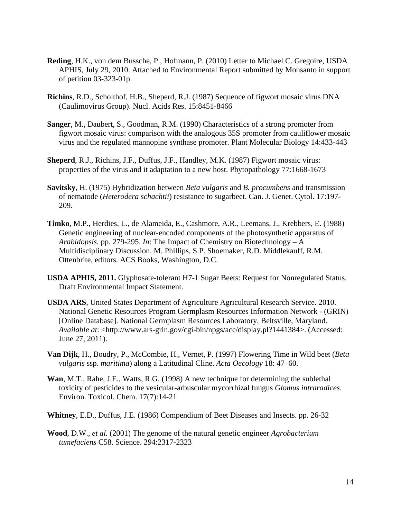- **Reding**, H.K., von dem Bussche, P., Hofmann, P. (2010) Letter to Michael C. Gregoire, USDA APHIS, July 29, 2010. Attached to Environmental Report submitted by Monsanto in support of petition 03-323-01p.
- **Richins**, R.D., Scholthof, H.B., Sheperd, R.J. (1987) Sequence of figwort mosaic virus DNA (Caulimovirus Group). Nucl. Acids Res. 15:8451-8466
- **Sanger**, M., Daubert, S., Goodman, R.M. (1990) Characteristics of a strong promoter from figwort mosaic virus: comparison with the analogous 35S promoter from cauliflower mosaic virus and the regulated mannopine synthase promoter. Plant Molecular Biology 14:433-443
- **Sheperd**, R.J., Richins, J.F., Duffus, J.F., Handley, M.K. (1987) Figwort mosaic virus: properties of the virus and it adaptation to a new host. Phytopathology 77:1668-1673
- **Savitsky**, H. (1975) Hybridization between *Beta vulgaris* and *B. procumbens* and transmission of nematode (*Heterodera schachtii*) resistance to sugarbeet. Can. J. Genet. Cytol. 17:197- 209.
- **Timko**, M.P., Herdies, L., de Alameida, E., Cashmore, A.R., Leemans, J., Krebbers, E. (1988) Genetic engineering of nuclear-encoded components of the photosynthetic apparatus of *Arabidopsis.* pp. 279-295. *In*: The Impact of Chemistry on Biotechnology – A Multidisciplinary Discussion. M. Phillips, S.P. Shoemaker, R.D. Middlekauff, R.M. Ottenbrite, editors. ACS Books, Washington, D.C.
- **USDA APHIS, 2011.** Glyphosate-tolerant H7-1 Sugar Beets: Request for Nonregulated Status. Draft Environmental Impact Statement.
- **USDA ARS**, United States Department of Agriculture Agricultural Research Service. 2010. National Genetic Resources Program Germplasm Resources Information Network - (GRIN) [Online Database]. National Germplasm Resources Laboratory, Beltsville, Maryland. *Available at*: <http://www.ars-grin.gov/cgi-bin/npgs/acc/display.pl?1441384>. (Accessed: June 27, 2011).
- **Van Dijk**, H., Boudry, P., McCombie, H., Vernet, P. (1997) Flowering Time in Wild beet (*Beta vulgaris* ssp. *maritima*) along a Latitudinal Cline. *Acta Oecology* 18: 47–60.
- **Wan**, M.T., Rahe, J.E., Watts, R.G. (1998) A new technique for determining the sublethal toxicity of pesticides to the vesicular-arbuscular mycorrhizal fungus *Glomus intraradices*. Environ. Toxicol. Chem. 17(7):14-21
- **Whitney**, E.D., Duffus, J.E. (1986) Compendium of Beet Diseases and Insects. pp. 26-32
- **Wood**, D.W., *et al.* (2001) The genome of the natural genetic engineer *Agrobacterium tumefaciens* C58. Science. 294:2317-2323